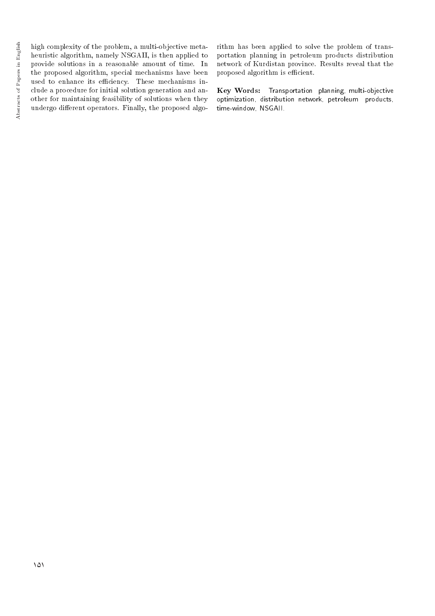high complexity of the problem, a multi-objective metaheuristic algorithm, namely NSGAII, is then applied to provide solutions in a reasonable amount of time. In the proposed algorithm, special mechanisms have been used to enhance its efficiency. These mechanisms include a procedure for initial solution generation and another for maintaining feasibility of solutions when they undergo different operators. Finally, the proposed algorithm has been applied to solve the problem of transportation planning in petroleum products distribution network of Kurdistan province. Results reveal that the proposed algorithm is efficient.

Key Words: Transportation planning, multi-objective optimization, distribution network, petroleum products, time-window, NSGAII.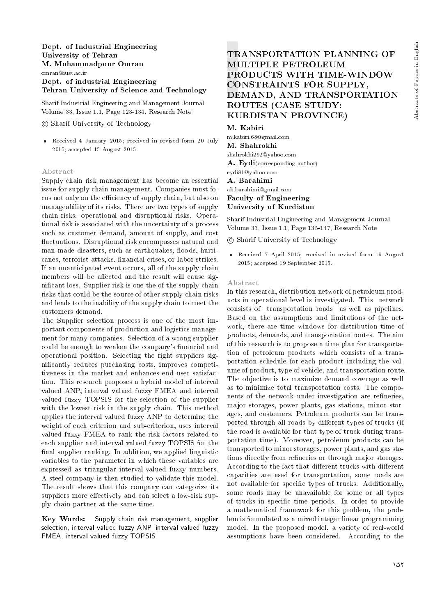## Dept. of Industrial Engineering University of Tehran M. Mohammadpour Omran omran@iust.ac.ir Dept. of industrial Engineering Tehran University of Science and Technology

Sharif Industrial Engineering and Management Journal Volume 33, Issue 1.1, Page 123-134, Research Note

c Sharif University of Technology

 Received 4 January 2015; received in revised form 20 July 2015; accepted 15 August 2015.

#### Abstract

Supply chain risk management has become an essential issue for supply chain management. Companies must focus not only on the efficiency of supply chain, but also on manageability of its risks. There are two types of supply chain risks: operational and disruptional risks. Operational risk is associated with the uncertainty of a process such as customer demand, amount of supply, and cost fluctuations. Disruptional risk encompasses natural and man-made disasters, such as earthquakes, floods, hurricanes, terrorist attacks, financial crises, or labor strikes. If an unanticipated event occurs, all of the supply chain members will be affected and the result will cause signicant loss. Supplier risk is one the of the supply chain risks that could be the source of other supply chain risks and leads to the inability of the supply chain to meet the customers demand.

The Supplier selection process is one of the most important components of production and logistics management for many companies. Selection of a wrong supplier could be enough to weaken the company's financial and operational position. Selecting the right suppliers signicantly reduces purchasing costs, improves competitiveness in the market and enhances end user satisfaction. This research proposes a hybrid model of interval valued ANP, interval valued fuzzy FMEA and interval valued fuzzy TOPSIS for the selection of the supplier with the lowest risk in the supply chain. This method applies the interval valued fuzzy ANP to determine the weight of each criterion and sub-criterion, uses interval valued fuzzy FMEA to rank the risk factors related to each supplier and interval valued fuzzy TOPSIS for the final supplier ranking. In addition, we applied linguistic variables to the parameter in which these variables are expressed as triangular interval-valued fuzzy numbers. A steel company is then studied to validate this model. The result shows that this company can categorize its suppliers more effectively and can select a low-risk supply chain partner at the same time.

Key Words: Supply chain risk management, supplier selection, interval valued fuzzy ANP, interval valued fuzzy FMEA, interval valued fuzzy TOPSIS.

# TRANSPORTATION PLANNING OF MULTIPLE PETROLEUM PRODUCTS WITH TIME-WINDOW CONSTRAINTS FOR SUPPLY, DEMAND, AND TRANSPORTATION ROUTES (CASE STUDY: KURDISTAN PROVINCE)

#### M. Kabiri

m.kabiri.68@gmail.com M. Shahrokhi shahrokhi292@yahoo.com A. Eydi(corresponding author) eydi81@yahoo.com A. Barahimi ah.barahimi@gmail.com Faculty of Engineering University of Kurdistan

Sharif Industrial Engineering and Management Journal Volume 33, Issue 1.1, Page 135-147, Research Note

c Sharif University of Technology

 Received 7 April 2015; received in revised form 19 August 2015; accepted 19 September 2015.

#### Abstract

In this research, distribution network of petroleum products in operational level is investigated. This network consists of transportation roads as well as pipelines. Based on the assumptions and limitations of the network, there are time windows for distribution time of products, demands, and transportation routes. The aim of this research is to propose a time plan for transportation of petroleum products which consists of a transportation schedule for each product including the volume of product, type of vehicle, and transportation route. The objective is to maximize demand coverage as well as to minimize total transportation costs. The components of the network under investigation are refineries, major storages, power plants, gas stations, minor storages, and customers. Petroleum products can be transported through all roads by different types of trucks (if the road is available for that type of truck during transportation time). Moreover, petroleum products can be transported to minor storages, power plants, and gas stations directly from refineries or through major storages. According to the fact that different trucks with different capacities are used for transportation, some roads are not available for specic types of trucks. Additionally, some roads may be unavailable for some or all types of trucks in specic time periods. In order to provide a mathematical framework for this problem, the problem is formulated as a mixed integer linear programming model. In the proposed model, a variety of real-world assumptions have been considered. According to the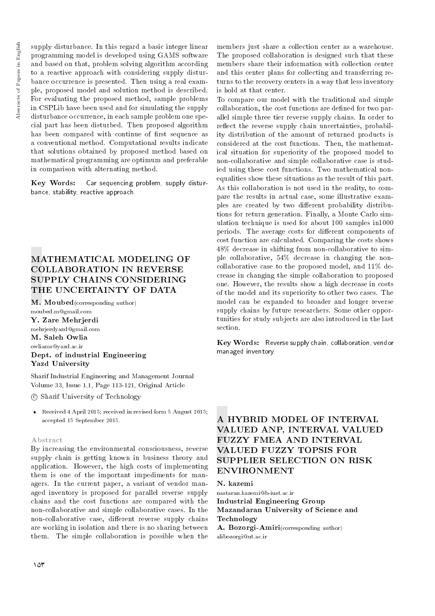supply disturbance. In this regard a basic integer linear programming model is developed using GAMS software and based on that, problem solving algorithm according to a reactive approach with considering supply disturbance occurrence is presented. Then using a real example, proposed model and solution method is described. For evaluating the proposed method, sample problems in CSPLib have been used and for simulating the supply disturbance occurrence, in each sample problem one special part has been disturbed. Then proposed algorithm has been compared with continue of first sequence as a conventional method. Computational results indicate that solutions obtained by proposed method based on mathematical programming are optimum and preferable in comparison with alternating method.

Key Words: Car sequencing problem, supply disturbance, stability, reactive approach.

# MATHEMATICAL MODELING OF COLLABORATION IN REVERSE SUPPLY CHAINS CONSIDERING THE UNCERTAINTY OF DATA

M. Moubed(corresponding author) moubed.m@gmail.com

Y. Zare Mehrjerdi mehrjerdyazd@gmail.com M. Saleh Owlia owliams@yazd.ac.ir Dept. of industrial Engineering Yazd University

Sharif Industrial Engineering and Management Journal Volume 33, Issue 1.1, Page 113-121, Original Article

c Sharif University of Technology

 Received 4 April 2015; received in revised form 5 August 2015; accepted 15 September 2015.

#### Abstract

By increasing the environmental consciousness, reverse supply chain is getting known in business theory and application. However, the high costs of implementing them is one of the important impediments for managers. In the current paper, a variant of vendor managed inventory is proposed for parallel reverse supply chains and the cost functions are compared with the non-collaborative and simple collaborative cases. In the non-collaborative case, different reverse supply chains are working in isolation and there is no sharing between them. The simple collaboration is possible when the

members just share a collection center as a warehouse. The proposed collaboration is designed such that these members share their information with collection center and this center plans for collecting and transferring returns to the recovery centers in a way that less inventory is hold at that center.

To compare our model with the traditional and simple collaboration, the cost functions are dened for two parallel simple three tier reverse supply chains. In order to reflect the reverse supply chain uncertainties, probability distribution of the amount of returned products is considered at the cost functions. Then, the mathematical situation for superiority of the proposed model to non-collaborative and simple collaborative case is studied using these cost functions. Two mathematical nonequalities show these situations as the result of this part. As this collaboration is not used in the reality, to compare the results in actual case, some illustrative examples are created by two different probability distributions for return generation. Finally, a Monte Carlo simulation technique is used for about 100 samples in1000 periods. The average costs for different components of cost function are calculated. Comparing the costs shows 48% decrease in shifting from non-collaborative to simple collaborative, 54% decrease in changing the noncollaborative case to the proposed model, and 11% decrease in changing the simple collaboration to proposed one. However, the results show a high decrease in costs of the model and its superiority to other two cases. The model can be expanded to broader and longer reverse supply chains by future researchers. Some other opportunities for study subjects are also introduced in the last section.

Key Words: Reverse supply chain, collaboration, vendor managed inventory.

# A HYBRID MODEL OF INTERVAL VALUED ANP, INTERVAL VALUED FUZZY FMEA AND INTERVAL VALUED FUZZY TOPSIS FOR SUPPLIER SELECTION ON RISK ENVIRONMENT

N. kazemi

nastaran.kazemi@b-iust.ac.ir Industrial Engineering Group Mazandaran University of Science and Technology

A. Bozorgi-Amiri(corresponding author) alibozorgi@ut.ac.ir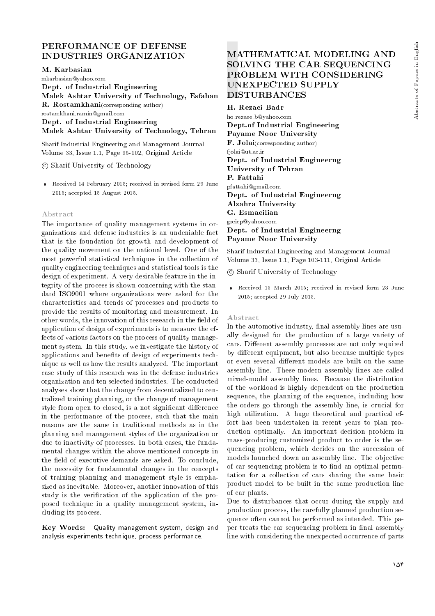# PERFORMANCE OF DEFENSE INDUSTRIES ORGANIZATION

M. Karbasian

mkarbasian@yahoo.com

Dept. of Industrial Engineering Malek Ashtar University of Technology, Esfahan R. Rostamkhani(corresponding author) rostamkhani.ramin@gmail.com

Dept. of Industrial Engineering

Malek Ashtar University of Technology, Tehran

Sharif Industrial Engineering and Management Journal Volume 33, Issue 1.1, Page 95-102, Original Article

c Sharif University of Technology

 Received 14 February 2015; received in revised form 29 June 2015; accepted 15 August 2015.

#### Abstract

The importance of quality management systems in organizations and defense industries is an undeniable fact that is the foundation for growth and development of the quality movement on the national level. One of the most powerful statistical techniques in the collection of quality engineering techniques and statistical tools is the design of experiment. A very desirable feature in the integrity of the process is shown concerning with the standard ISO9001 where organizations were asked for the characteristics and trends of processes and products to provide the results of monitoring and measurement. In other words, the innovation of this research in the field of application of design of experiments is to measure the effects of various factors on the process of quality management system. In this study, we investigate the history of applications and benefits of design of experiments technique as well as how the results analyzed. The important case study of this research was in the defense industries organization and ten selected industries. The conducted analyses show that the change from decentralized to centralized training planning, or the change of management style from open to closed, is a not significant difference in the performance of the process, such that the main reasons are the same in traditional methods as in the planning and management styles of the organization or due to inactivity of processes. In both cases, the fundamental changes within the above-mentioned concepts in the field of executive demands are asked. To conclude, the necessity for fundamental changes in the concepts of training planning and management style is emphasized as inevitable. Moreover, another innovation of this study is the verification of the application of the proposed technique in a quality management system, including its process.

Key Words: Quality management system, design and analysis experiments technique, process performance.

# MATHEMATICAL MODELING AND SOLVING THE CAR SEQUENCING PROBLEM WITH CONSIDERING UNEXPECTED SUPPLY DISTURBANCES

H. Rezaei Badr ho rezaee b@yahoo.com Dept.of Industrial Engineering Payame Noor University F. Jolai(corresponding author) fiolai@ut.ac.ir Dept. of Industrial Engineerng University of Tehran P. Fattahi pfattahi@gmail.com Dept. of Industrial Engineerng Alzahra University G. Esmaeilian greiep@yahoo.com Dept. of Industrial Engineerng Payame Noor University

Sharif Industrial Engineering and Management Journal Volume 33, Issue 1.1, Page 103-111, Original Article

c Sharif University of Technology

 Received 15 March 2015; received in revised form 23 June 2015; accepted 29 July 2015.

#### Abstract

In the automotive industry, final assembly lines are usually designed for the production of a large variety of cars. Different assembly processes are not only required by different equipment, but also because multiple types or even several different models are built on the same assembly line. These modern assembly lines are called mixed-model assembly lines. Because the distribution of the workload is highly dependent on the production sequence, the planning of the sequence, including how the orders go through the assembly line, is crucial for high utilization. A huge theoretical and practical effort has been undertaken in recent years to plan production optimally. An important decision problem in mass-producing customized product to order is the sequencing problem, which decides on the succession of models launched down an assembly line. The objective of car sequencing problem is to find an optimal permutation for a collection of cars sharing the same basic product model to be built in the same production line of car plants.

Due to disturbances that occur during the supply and production process, the carefully planned production sequence often cannot be performed as intended. This paper treats the car sequencing problem in final assembly line with considering the unexpected occurrence of parts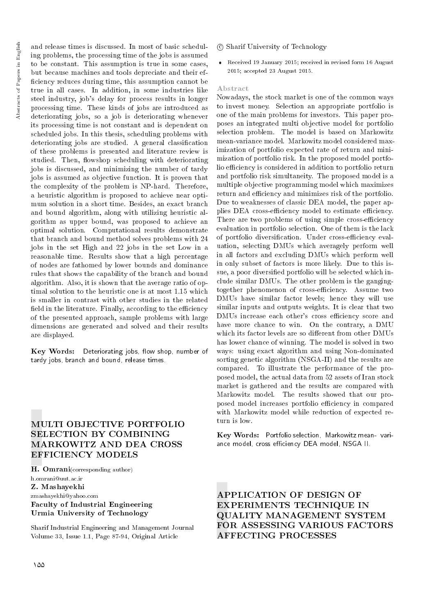and release times is discussed. In most of basic scheduling problems, the processing time of the jobs is assumed to be constant. This assumption is true in some cases, but because machines and tools depreciate and their ef ficiency reduces during time, this assumption cannot be true in all cases. In addition, in some industries like steel industry, job's delay for process results in longer processing time. These kinds of jobs are introduced as deteriorating jobs, so a job is deteriorating whenever its processing time is not constant and is dependent on scheduled jobs. In this thesis, scheduling problems with deteriorating jobs are studied. A general classification of these problems is presented and literature review is studied. Then, flowshop scheduling with deteriorating jobs is discussed, and minimizing the number of tardy jobs is assumed as objective function. It is proven that the complexity of the problem is NP-hard. Therefore, a heuristic algorithm is proposed to achieve near optimum solution in a short time. Besides, an exact branch and bound algorithm, along with utilizing heuristic algorithm as upper bound, was proposed to achieve an optimal solution. Computational results demonstrate that branch and bound method solves problems with 24 jobs in the set High and 22 jobs in the set Low in a reasonable time. Results show that a high percentage of nodes are fathomed by lower bounds and dominance rules that shows the capability of the branch and bound algorithm. Also, it is shown that the average ratio of optimal solution to the heuristic one is at most 1.15 which is smaller in contrast with other studies in the related field in the literature. Finally, according to the efficiency of the presented approach, sample problems with large dimensions are generated and solved and their results are displayed.

Key Words: Deteriorating jobs, flow shop, number of tardy jobs, branch and bound, release times.

# MULTI OBJECTIVE PORTFOLIO SELECTION BY COMBINING MARKOWITZ AND DEA CROSS EFFICIENCY MODELS

H. Omrani(corresponding author) h.omrani@uut.ac.ir

Z. Mashayekhi

## zmashayekhi@yahoo.com Faculty of Industrial Engineering Urmia University of Technology

Sharif Industrial Engineering and Management Journal Volume 33, Issue 1.1, Page 87-94, Original Article

## c Sharif University of Technology

 Received 19 January 2015; received in revised form 16 August 2015; accepted 23 August 2015.

#### Abstract

Nowadays, the stock market is one of the common ways to invest money. Selection an appropriate portfolio is one of the main problems for investors. This paper proposes an integrated multi objective model for portfolio selection problem. The model is based on Markowitz mean-variance model. Markowitz model considered maximization of portfolio expected rate of return and minimization of portfolio risk. In the proposed model portfolio efficiency is considered in addition to portfolio return and portfolio risk simultaneity. The proposed model is a multiple objective programming model which maximizes return and efficiency and minimizes risk of the portfolio. Due to weaknesses of classic DEA model, the paper applies DEA cross-efficiency model to estimate efficiency. There are two problems of using simple cross-efficiency evaluation in portfolio selection. One of them is the lack of portfolio diversification. Under cross-efficiency evaluation, selecting DMUs which averagely perform well in all factors and excluding DMUs which perform well in only subset of factors is more likely. Due to this issue, a poor diversied portfolio will be selected which include similar DMUs. The other problem is the gangingtogether phenomenon of cross-efficiency. Assume two DMUs have similar factor levels; hence they will use similar inputs and outputs weights. It is clear that two DMUs increase each other's cross efficiency score and have more chance to win. On the contrary, a DMU which its factor levels are so different from other DMUs has lower chance of winning. The model is solved in two ways: using exact algorithm and using Non-dominated sorting genetic algorithm (NSGA-II) and the results are compared. To illustrate the performance of the proposed model, the actual data from 52 assets of Iran stock market is gathered and the results are compared with Markowitz model. The results showed that our proposed model increases portfolio efficiency in compared with Markowitz model while reduction of expected return is low.

Key Words: Portfolio selection, Markowitz mean- variance model, cross efficiency DEA model, NSGA II.

APPLICATION OF DESIGN OF EXPERIMENTS TECHNIQUE IN QUALITY MANAGEMENT SYSTEM FOR ASSESSING VARIOUS FACTORS AFFECTING PROCESSES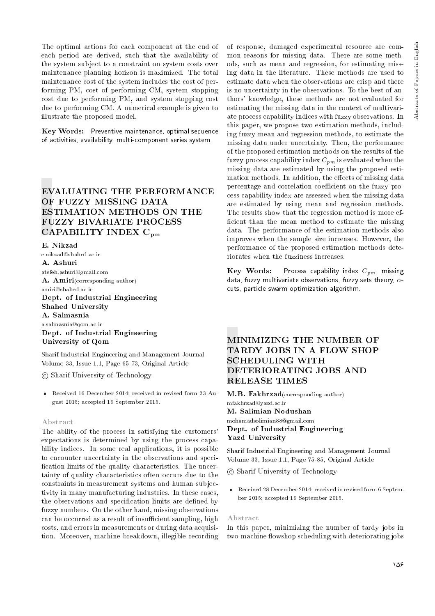The optimal actions for each component at the end of each period are derived, such that the availability of the system subject to a constraint on system costs over maintenance planning horizon is maximized. The total maintenance cost of the system includes the cost of performing PM, cost of performing CM, system stopping cost due to performing PM, and system stopping cost due to performing CM. A numerical example is given to illustrate the proposed model.

Key Words: Preventive maintenance, optimal sequence of activities, availability, multi-component series system.

## EVALUATING THE PERFORMANCE OF FUZZY MISSING DATA ESTIMATION METHODS ON THE FUZZY BIVARIATE PROCESS CAPABILITY INDEX C<sub>pm</sub>

#### E. Nikzad

e.nikzad@shahed.ac.ir A. Ashuri atefeh.ashuri@gmail.com A. Amiri(corresponding author) amiri@shahed.ac.ir Dept. of Industrial Engineering Shahed University A. Salmasnia a.salmasnia@qom.ac.ir Dept. of Industrial Engineering

University of Qom Sharif Industrial Engineering and Management Journal

Volume 33, Issue 1.1, Page 65-73, Original Article

c Sharif University of Technology

 Received 16 December 2014; received in revised form 23 August 2015; accepted 19 September 2015.

#### Abstract

The ability of the process in satisfying the customers' expectations is determined by using the process capability indices. In some real applications, it is possible to encounter uncertainty in the observations and speci fication limits of the quality characteristics. The uncertainty of quality characteristics often occurs due to the constraints in measurement systems and human subjectivity in many manufacturing industries. In these cases, the observations and specification limits are defined by fuzzy numbers. On the other hand, missing observations can be occurred as a result of insufficient sampling, high costs, and errors in measurements or during data acquisition. Moreover, machine breakdown, illegible recording

of response, damaged experimental resource are common reasons for missing data. There are some methods, such as mean and regression, for estimating missing data in the literature. These methods are used to estimate data when the observations are crisp and there is no uncertainty in the observations. To the best of authors' knowledge, these methods are not evaluated for estimating the missing data in the context of multivariate process capability indices with fuzzy observations. In this paper, we propose two estimation methods, including fuzzy mean and regression methods, to estimate the missing data under uncertainty. Then, the performance of the proposed estimation methods on the results of the fuzzy process capability index  $C_{pm}$  is evaluated when the missing data are estimated by using the proposed estimation methods. In addition, the effects of missing data percentage and correlation coefficient on the fuzzy process capability index are assessed when the missing data are estimated by using mean and regression methods. The results show that the regression method is more ef ficient than the mean method to estimate the missing data. The performance of the estimation methods also improves when the sample size increases. However, the performance of the proposed estimation methods deteriorates when the fuzziness increases.

**Key Words:** Process capability index  $C_{pm}$ , missing data, fuzzy multivariate observations, fuzzy sets theory,  $\alpha$ cuts, particle swarm optimization algorithm.

## MINIMIZING THE NUMBER OF TARDY JOBS IN A FLOW SHOP SCHEDULING WITH DETERIORATING JOBS AND RELEASE TIMES

M.B. Fakhrzad(corresponding author) mfakhrzad@yazd.ac.ir M. Salimian Nodushan mohamadsolimian88@gmail.com Dept. of Industrial Engineering Yazd University

Sharif Industrial Engineering and Management Journal Volume 33, Issue 1.1, Page 75-85, Original Article

c Sharif University of Technology

 Received 28 December 2014; received in revised form 6 September 2015; accepted 19 September 2015.

#### Abstract

In this paper, minimizing the number of tardy jobs in two-machine flowshop scheduling with deteriorating jobs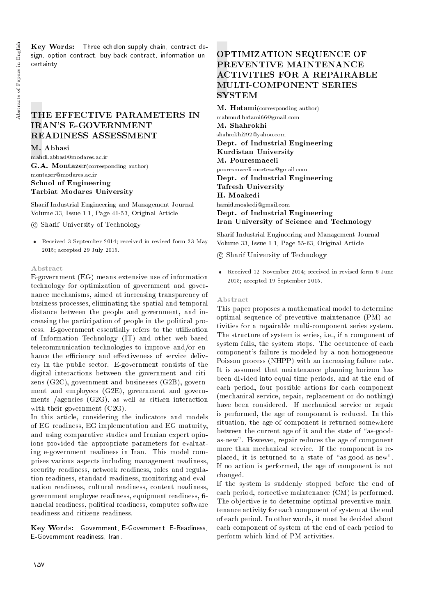Key Words: Three echelon supply chain, contract design, option contract, buy-back contract, information uncertainty.

## THE EFFECTIVE PARAMETERS IN IRAN'S E-GOVERNMENT READINESS ASSESSMENT

M. Abbasi

mahdi.abbasi@modares.ac.ir G.A. Montazer(corresponding author) montazer@modares.ac.ir School of Engineering Tarbiat Modares University

Sharif Industrial Engineering and Management Journal Volume 33, Issue 1.1, Page 41-53, Original Article

c Sharif University of Technology

 Received 3 September 2014; received in revised form 23 May 2015; accepted 29 July 2015.

## Abstract

E-government (EG) means extensive use of information technology for optimization of government and governance mechanisms, aimed at increasing transparency of business processes, eliminating the spatial and temporal distance between the people and government, and increasing the participation of people in the political process. E-government essentially refers to the utilization of Information Technology (IT) and other web-based telecommunication technologies to improve and/or enhance the efficiency and effectiveness of service delivery in the public sector. E-government consists of the digital interactions between the government and citizens (G2C), government and businesses (G2B), government and employees (G2E), government and governments /agencies (G2G), as well as citizen interaction with their government  $(C2G)$ .

In this article, considering the indicators and models of EG readiness, EG implementation and EG maturity, and using comparative studies and Iranian expert opinions provided the appropriate parameters for evaluating e-government readiness in Iran. This model comprises various aspects including management readiness, security readiness, network readiness, roles and regulation readiness, standard readiness, monitoring and evaluation readiness, cultural readiness, content readiness, government employee readiness, equipment readiness, financial readiness, political readiness, computer software readiness and citizens readiness.

Key Words: Government, E-Government, E-Readiness, E-Government readiness, Iran.

# OPTIMIZATION SEQUENCE OF PREVENTIVE MAINTENANCE ACTIVITIES FOR A REPAIRABLE MULTI-COMPONENT SERIES **SYSTEM**

M. Hatami(corresponding author) mahmud.hatami66@gmail.com M. Shahrokhi shahrokhi292@yahoo.com Dept. of Industrial Engineering Kurdistan University M. Pouresmaeeli pouresmaeeli.morteza@gmail.com Dept. of Industrial Engineering Tafresh University H. Moakedi hamid.moakedi@gmail.com Dept. of Industrial Engineering Iran University of Science and Technology

Sharif Industrial Engineering and Management Journal Volume 33, Issue 1.1, Page 55-63, Original Article

c Sharif University of Technology

 Received 12 November 2014; received in revised form 6 June 2015; accepted 19 September 2015.

### Abstract

This paper proposes a mathematical model to determine optimal sequence of preventive maintenance (PM) activities for a repairable multi-component series system. The structure of system is series, i.e., if a component of system fails, the system stops. The occurrence of each component's failure is modeled by a non-homogeneous Poisson process (NHPP) with an increasing failure rate. It is assumed that maintenance planning horizon has been divided into equal time periods, and at the end of each period, four possible actions for each component (mechanical service, repair, replacement or do nothing) have been considered. If mechanical service or repair is performed, the age of component is reduced. In this situation, the age of component is returned somewhere between the current age of it and the state of "as-goodas-new". However, repair reduces the age of component more than mechanical service. If the component is replaced, it is returned to a state of "as-good-as-new". If no action is performed, the age of component is not changed.

If the system is suddenly stopped before the end of each period, corrective maintenance (CM) is performed. The objective is to determine optimal preventive maintenance activity for each component of system at the end of each period. In other words, it must be decided about each component of system at the end of each period to perform which kind of PM activities.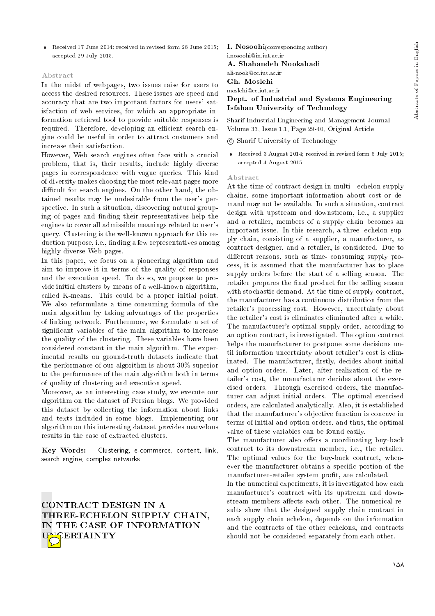## Abstract

In the midst of webpages, two issues raise for users to access the desired resources. These issues are speed and accuracy that are two important factors for users' satisfaction of web services, for which an appropriate information retrieval tool to provide suitable responses is required. Therefore, developing an efficient search engine could be useful in order to attract customers and increase their satisfaction.

However, Web search engines often face with a crucial problem, that is, their results, include highly diverse pages in correspondence with vague queries. This kind of diversity makes choosing the most relevant pages more difficult for search engines. On the other hand, the obtained results may be undesirable from the user's perspective. In such a situation, discovering natural grouping of pages and finding their representatives help the engines to cover all admissible meanings related to user's query. Clustering is the well-known approach for this reduction purpose, i.e., nding a few representatives among highly diverse Web pages.

In this paper, we focus on a pioneering algorithm and aim to improve it in terms of the quality of responses and the execution speed. To do so, we propose to provide initial clusters by means of a well-known algorithm, called K-means. This could be a proper initial point. We also reformulate a time-consuming formula of the main algorithm by taking advantages of the properties of linking network. Furthermore, we formulate a set of signicant variables of the main algorithm to increase the quality of the clustering. These variables have been considered constant in the main algorithm. The experimental results on ground-truth datasets indicate that the performance of our algorithm is about 30% superior to the performance of the main algorithm both in terms of quality of clustering and execution speed.

Moreover, as an interesting case study, we execute our algorithm on the dataset of Persian blogs. We provided this dataset by collecting the information about links and texts included in some blogs. Implementing our algorithm on this interesting dataset provides marvelous results in the case of extracted clusters.

Key Words: Clustering, e-commerce, content, link, search engine, complex networks.

CONTRACT DESIGN IN A THREE-ECHELON SUPPLY CHAIN, IN THE CASE OF INFORMATION **SERTAINTY** 

I. Nosoohi(corresponding author) i.nosoohi@in.iut.ac.ir A. Shahandeh Nookabadi ali-nook@cc.iut.ac.ir Gh. Moslehi moslehi@cc.iut.ac.ir

## Dept. of Industrial and Systems Engineering Isfahan University of Technology

Sharif Industrial Engineering and Management Journal Volume 33, Issue 1.1, Page 29-40, Original Article

c Sharif University of Technology

 Received 3 August 2014; received in revised form 6 July 2015; accepted 4 August 2015.

## Abstract

At the time of contract design in multi - echelon supply chains, some important information about cost or demand may not be available. In such a situation, contract design with upstream and downstream, i.e., a supplier and a retailer, members of a supply chain becomes an important issue. In this research, a three- echelon supply chain, consisting of a supplier, a manufacturer, as contract designer, and a retailer, is considered. Due to different reasons, such as time-consuming supply process, it is assumed that the manufacturer has to place supply orders before the start of a selling season. The retailer prepares the final product for the selling season with stochastic demand. At the time of supply contract, the manufacturer has a continuous distribution from the retailer's processing cost. However, uncertainty about the retailer's cost is eliminates eliminated after a while. The manufacturer's optimal supply order, according to an option contract, is investigated. The option contract helps the manufacturer to postpone some decisions until information uncertainty about retailer's cost is eliminated. The manufacturer, firstly, decides about initial and option orders. Later, after realization of the retailer's cost, the manufacturer decides about the exercised orders. Through exercised orders, the manufacturer can adjust initial orders. The optimal exercised orders, are calculated analytically. Also, it is established that the manufacturer's objective function is concave in terms of initial and option orders, and thus, the optimal value of these variables can be found easily.

The manufacturer also offers a coordinating buy-back contract to its downstream member, i.e., the retailer. The optimal values for the buy-back contract, whenever the manufacturer obtains a specic portion of the manufacturer-retailer system profit, are calculated. In the numerical experiments, it is investigated how each manufacturer's contract with its upstream and downstream members affects each other. The numerical results show that the designed supply chain contract in each supply chain echelon, depends on the information and the contracts of the other echelons, and contracts should not be considered separately from each other.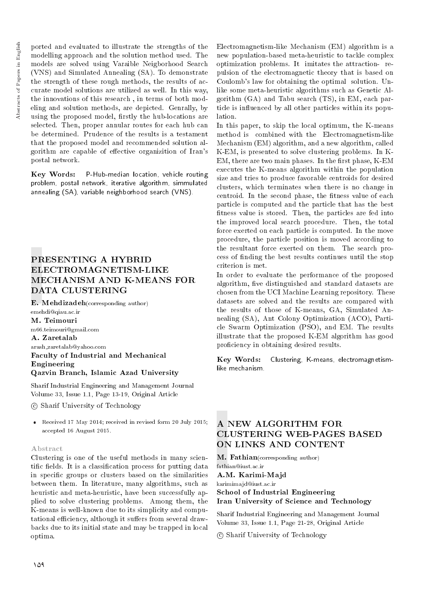ported and evaluated to illustrate the strengths of the modelling approach and the solution method used. The models are solved using Varaible Neigborhood Search (VNS) and Simulated Annealing (SA). To demonstrate the strength of these rough methods, the results of accurate model solutions are utilized as well. In this way, the innovations of this research , in terms of both modeling and solution methods, are depicted. Genrally, by using the proposed model, firstly the hub-locations are selected. Then, proper annular routes for each hub can be determined. Prudence of the results is a testament that the proposed model and recommended solution algorithm are capable of effective organizition of Iran's postal network.

Key Words: P-Hub-median location, vehicle routing problem, postal network, iterative algorithm, simmulated annealing (SA), variable neighborhood search (VNS).

# PRESENTING A HYBRID ELECTROMAGNETISM-LIKE MECHANISM AND K-MEANS FOR DATA CLUSTERING

E. Mehdizadeh(corresponding author) emehdi@qiau.ac.ir M. Teimouri

m66.teimouri@gmail.com

A. Zaretalab arash zaretalab@yahoo.com Faculty of Industrial and Mechanical Engineering Qazvin Branch, Islamic Azad University

Sharif Industrial Engineering and Management Journal Volume 33, Issue 1.1, Page 13-19, Original Article

c Sharif University of Technology

 Received 17 May 2014; received in revised form 20 July 2015; accepted 16 August 2015.

## Abstract

Clustering is one of the useful methods in many scientific fields. It is a classification process for putting data in specic groups or clusters based on the similarities between them. In literature, many algorithms, such as heuristic and meta-heuristic, have been successfully applied to solve clustering problems. Among them, the K-means is well-known due to its simplicity and computational efficiency, although it suffers from several drawbacks due to its initial state and may be trapped in local optima.

Electromagnetism-like Mechanism (EM) algorithm is a new population-based meta-heuristic to tackle complex optimization problems. It imitates the attraction- repulsion of the electromagnetic theory that is based on Coulomb's law for obtaining the optimal solution. Unlike some meta-heuristic algorithms such as Genetic Algorithm (GA) and Tabu search (TS), in EM, each particle is in
uenced by all other particles within its population.

In this paper, to skip the local optimum, the K-means method is combined with the Electromagnetism-like Mechanism (EM) algorithm, and a new algorithm, called K-EM, is presented to solve clustering problems. In K-EM, there are two main phases. In the first phase, K-EM executes the K-means algorithm within the population size and tries to produce favorable centroids for desired clusters, which terminates when there is no change in centroid. In the second phase, the fitness value of each particle is computed and the particle that has the best fitness value is stored. Then, the particles are fed into the improved local search procedure. Then, the total force exerted on each particle is computed. In the move procedure, the particle position is moved according to the resultant force exerted on them. The search process of nding the best results continues until the stop criterion is met.

In order to evaluate the performance of the proposed algorithm, five distinguished and standard datasets are chosen from the UCI Machine Learning repository. These datasets are solved and the results are compared with the results of those of K-means, GA, Simulated Annealing (SA), Ant Colony Optimization (ACO), Particle Swarm Optimization (PSO), and EM. The results illustrate that the proposed K-EM algorithm has good proficiency in obtaining desired results.

Key Words: Clustering, K-means, electromagnetismlike mechanism.

## A NEW ALGORITHM FOR CLUSTERING WEB-PAGES BASED ON LINKS AND CONTENT

M. Fathian(corresponding author) fathian@iust.ac.ir

A.M. Karimi-Majd

karimimajd@iust.ac.ir School of Industrial Engineering Iran University of Science and Technology

Sharif Industrial Engineering and Management Journal Volume 33, Issue 1.1, Page 21-28, Original Article

c Sharif University of Technology